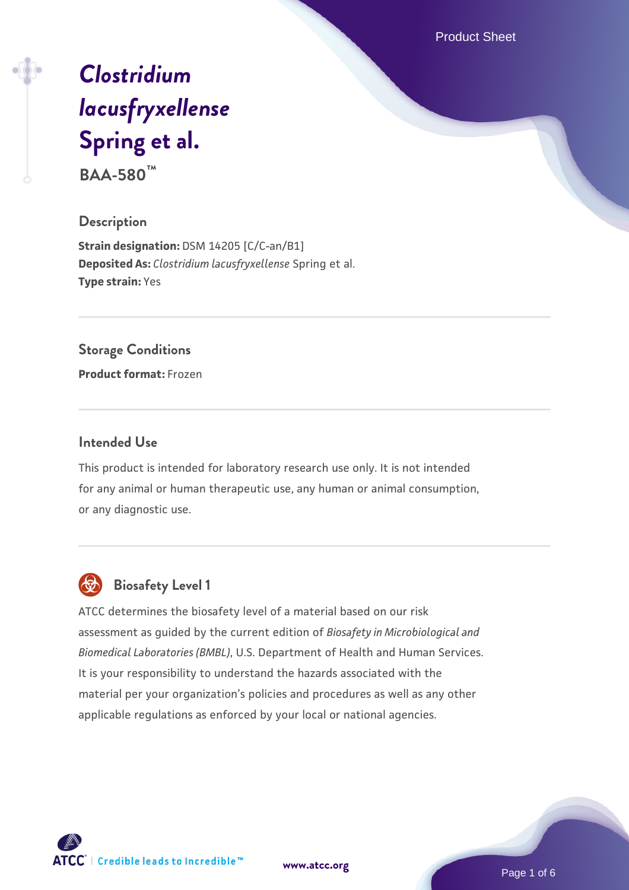Product Sheet

# *[Clostridium](https://www.atcc.org/products/baa-580) [lacusfryxellense](https://www.atcc.org/products/baa-580)* **[Spring et al.](https://www.atcc.org/products/baa-580)**

**BAA-580™**

#### **Description**

**Strain designation: DSM 14205 [C/C-an/B1] Deposited As:** *Clostridium lacusfryxellense* Spring et al. **Type strain:** Yes

#### **Storage Conditions**

**Product format:** Frozen

### **Intended Use**

This product is intended for laboratory research use only. It is not intended for any animal or human therapeutic use, any human or animal consumption, or any diagnostic use.



## **Biosafety Level 1**

ATCC determines the biosafety level of a material based on our risk assessment as guided by the current edition of *Biosafety in Microbiological and Biomedical Laboratories (BMBL)*, U.S. Department of Health and Human Services. It is your responsibility to understand the hazards associated with the material per your organization's policies and procedures as well as any other applicable regulations as enforced by your local or national agencies.

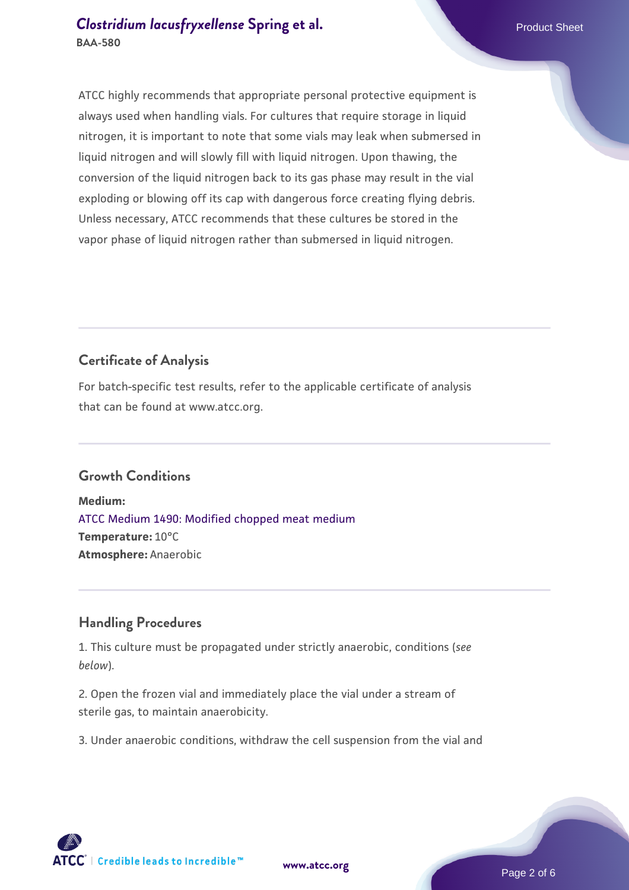## **[Clostridium lacusfryxellense](https://www.atcc.org/products/baa-580) [Spring et al.](https://www.atcc.org/products/baa-580)** Product Sheet **BAA-580**

ATCC highly recommends that appropriate personal protective equipment is always used when handling vials. For cultures that require storage in liquid nitrogen, it is important to note that some vials may leak when submersed in liquid nitrogen and will slowly fill with liquid nitrogen. Upon thawing, the conversion of the liquid nitrogen back to its gas phase may result in the vial exploding or blowing off its cap with dangerous force creating flying debris. Unless necessary, ATCC recommends that these cultures be stored in the vapor phase of liquid nitrogen rather than submersed in liquid nitrogen.

## **Certificate of Analysis**

For batch-specific test results, refer to the applicable certificate of analysis that can be found at www.atcc.org.

## **Growth Conditions**

**Medium:**  [ATCC Medium 1490: Modified chopped meat medium](https://www.atcc.org/-/media/product-assets/documents/microbial-media-formulations/1/4/9/0/atcc-medium-1490.pdf?rev=02c6e1848df74494b915ed6838f7995e) **Temperature:** 10°C **Atmosphere:** Anaerobic

## **Handling Procedures**

1. This culture must be propagated under strictly anaerobic, conditions (*see below*).

2. Open the frozen vial and immediately place the vial under a stream of sterile gas, to maintain anaerobicity.

3. Under anaerobic conditions, withdraw the cell suspension from the vial and

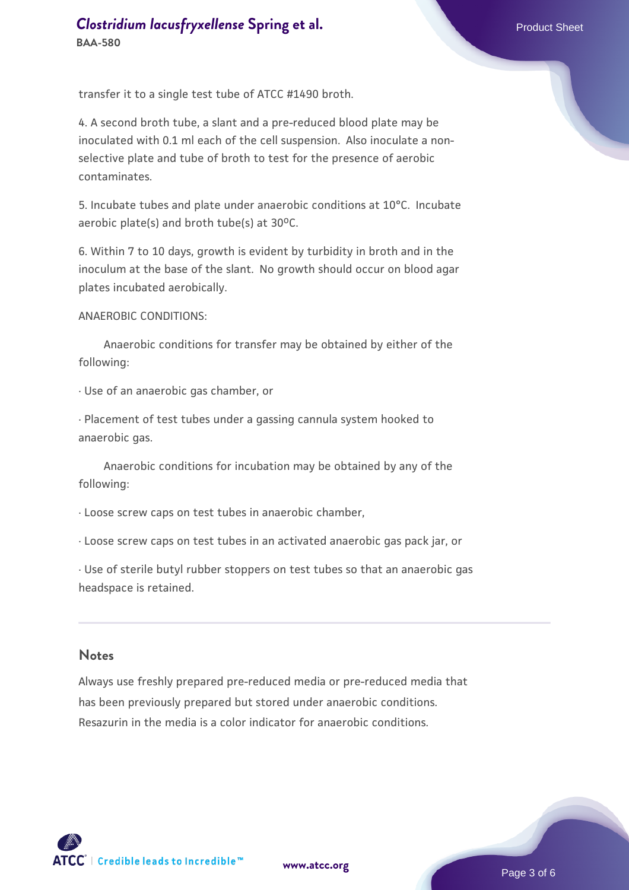transfer it to a single test tube of ATCC #1490 broth.

4. A second broth tube, a slant and a pre-reduced blood plate may be inoculated with 0.1 ml each of the cell suspension. Also inoculate a nonselective plate and tube of broth to test for the presence of aerobic contaminates.

5. Incubate tubes and plate under anaerobic conditions at 10°C. Incubate aerobic plate(s) and broth tube(s) at  $30^{\circ}$ C.

6. Within 7 to 10 days, growth is evident by turbidity in broth and in the inoculum at the base of the slant. No growth should occur on blood agar plates incubated aerobically.

#### ANAEROBIC CONDITIONS:

 Anaerobic conditions for transfer may be obtained by either of the following:

· Use of an anaerobic gas chamber, or

· Placement of test tubes under a gassing cannula system hooked to anaerobic gas.

 Anaerobic conditions for incubation may be obtained by any of the following:

· Loose screw caps on test tubes in anaerobic chamber,

· Loose screw caps on test tubes in an activated anaerobic gas pack jar, or

· Use of sterile butyl rubber stoppers on test tubes so that an anaerobic gas headspace is retained.

#### **Notes**

Always use freshly prepared pre-reduced media or pre-reduced media that has been previously prepared but stored under anaerobic conditions. Resazurin in the media is a color indicator for anaerobic conditions.

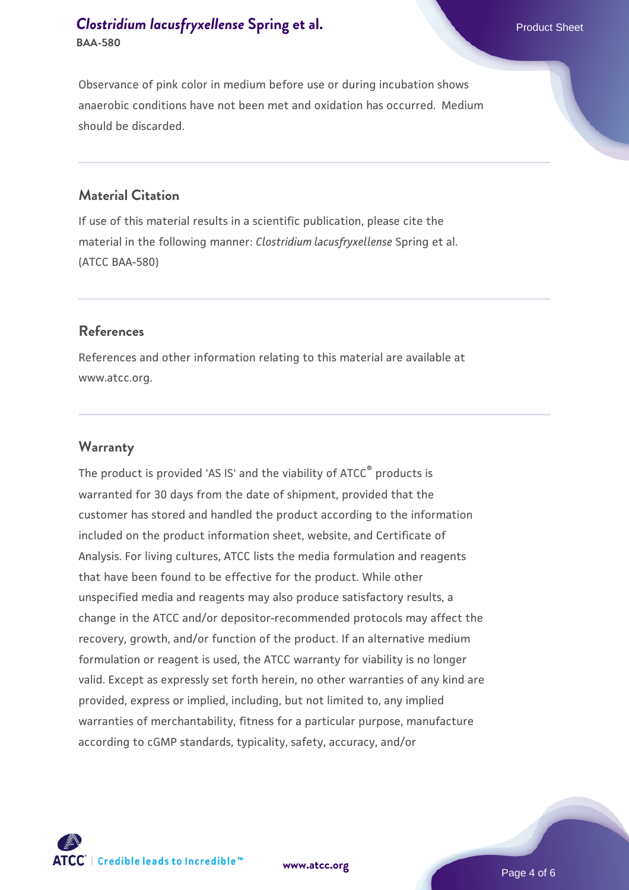## **[Clostridium lacusfryxellense](https://www.atcc.org/products/baa-580) [Spring et al.](https://www.atcc.org/products/baa-580)** Product Sheet **BAA-580**

Observance of pink color in medium before use or during incubation shows anaerobic conditions have not been met and oxidation has occurred. Medium should be discarded.

### **Material Citation**

If use of this material results in a scientific publication, please cite the material in the following manner: *Clostridium lacusfryxellense* Spring et al. (ATCC BAA-580)

#### **References**

References and other information relating to this material are available at www.atcc.org.

#### **Warranty**

The product is provided 'AS IS' and the viability of ATCC® products is warranted for 30 days from the date of shipment, provided that the customer has stored and handled the product according to the information included on the product information sheet, website, and Certificate of Analysis. For living cultures, ATCC lists the media formulation and reagents that have been found to be effective for the product. While other unspecified media and reagents may also produce satisfactory results, a change in the ATCC and/or depositor-recommended protocols may affect the recovery, growth, and/or function of the product. If an alternative medium formulation or reagent is used, the ATCC warranty for viability is no longer valid. Except as expressly set forth herein, no other warranties of any kind are provided, express or implied, including, but not limited to, any implied warranties of merchantability, fitness for a particular purpose, manufacture according to cGMP standards, typicality, safety, accuracy, and/or



**[www.atcc.org](http://www.atcc.org)**

Page 4 of 6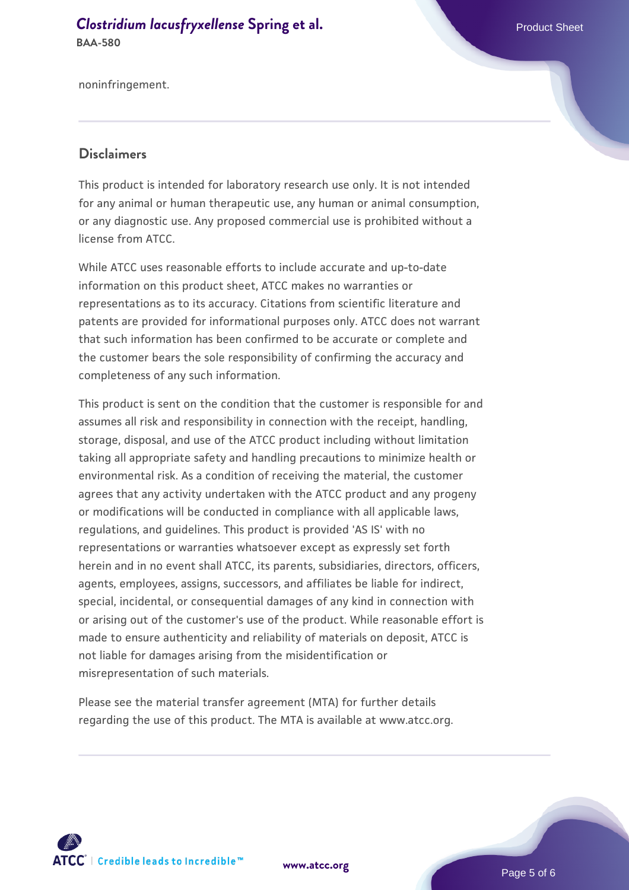#### **[Clostridium lacusfryxellense](https://www.atcc.org/products/baa-580) [Spring et al.](https://www.atcc.org/products/baa-580)** Product Sheet **BAA-580**

noninfringement.

### **Disclaimers**

This product is intended for laboratory research use only. It is not intended for any animal or human therapeutic use, any human or animal consumption, or any diagnostic use. Any proposed commercial use is prohibited without a license from ATCC.

While ATCC uses reasonable efforts to include accurate and up-to-date information on this product sheet, ATCC makes no warranties or representations as to its accuracy. Citations from scientific literature and patents are provided for informational purposes only. ATCC does not warrant that such information has been confirmed to be accurate or complete and the customer bears the sole responsibility of confirming the accuracy and completeness of any such information.

This product is sent on the condition that the customer is responsible for and assumes all risk and responsibility in connection with the receipt, handling, storage, disposal, and use of the ATCC product including without limitation taking all appropriate safety and handling precautions to minimize health or environmental risk. As a condition of receiving the material, the customer agrees that any activity undertaken with the ATCC product and any progeny or modifications will be conducted in compliance with all applicable laws, regulations, and guidelines. This product is provided 'AS IS' with no representations or warranties whatsoever except as expressly set forth herein and in no event shall ATCC, its parents, subsidiaries, directors, officers, agents, employees, assigns, successors, and affiliates be liable for indirect, special, incidental, or consequential damages of any kind in connection with or arising out of the customer's use of the product. While reasonable effort is made to ensure authenticity and reliability of materials on deposit, ATCC is not liable for damages arising from the misidentification or misrepresentation of such materials.

Please see the material transfer agreement (MTA) for further details regarding the use of this product. The MTA is available at www.atcc.org.



**[www.atcc.org](http://www.atcc.org)**

Page 5 of 6